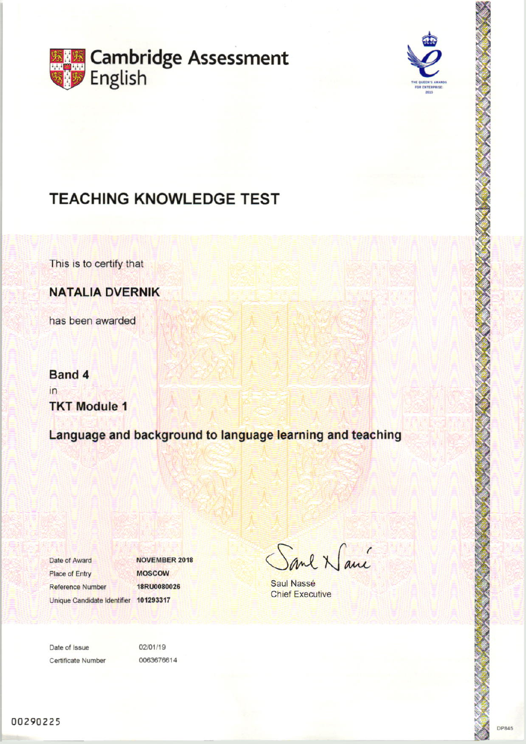



# **TEACHING KNOWLEDGE TEST**

This is to certify that

**NATALIA DVERNIK** 

has been awarded

**Band 4**  $in$ **TKT Module 1** 

Language and background to language learning and teaching

Date of Award **Place of Entry** Reference Number Unique Candidate Identifier 101293317

**NOVEMBER 2018 MOSCOW** 18RU0080026

Sand Namé

Saul Nassé **Chief Executive** 

Date of Issue Certificate Number 02/01/19 0063676614